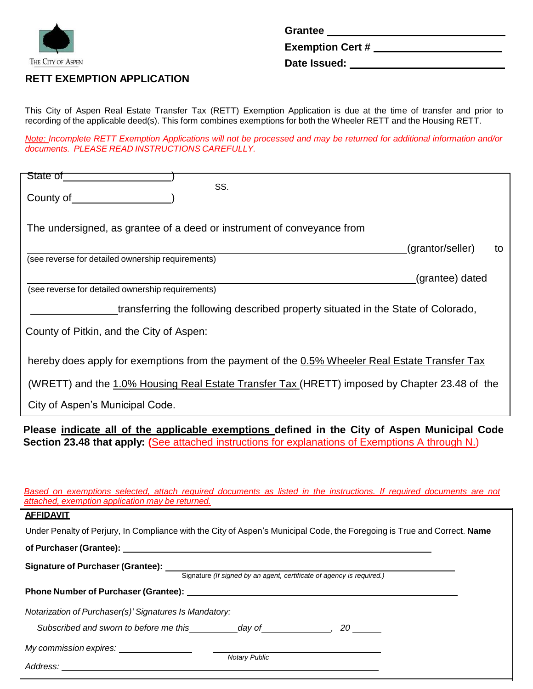

**Grantee**

**Exemption Cert #**

**Date Issued:**

# **RETT EXEMPTION APPLICATION**

This City of Aspen Real Estate Transfer Tax (RETT) Exemption Application is due at the time of transfer and prior to recording of the applicable deed(s). This form combines exemptions for both the Wheeler RETT and the Housing RETT.

Note: Incomplete RETT Exemption Applications will not be processed and may be returned for additional information and/or *documents. PLEASE READ INSTRUCTIONS CAREFULLY.*

| State of<br>SS.                                                                                                          |
|--------------------------------------------------------------------------------------------------------------------------|
| County of                                                                                                                |
|                                                                                                                          |
| The undersigned, as grantee of a deed or instrument of conveyance from                                                   |
|                                                                                                                          |
| (grantor/seller)<br>to<br>(see reverse for detailed ownership requirements)                                              |
|                                                                                                                          |
| (grantee) dated<br>(see reverse for detailed ownership requirements)                                                     |
|                                                                                                                          |
| transferring the following described property situated in the State of Colorado,                                         |
| County of Pitkin, and the City of Aspen:                                                                                 |
|                                                                                                                          |
| hereby does apply for exemptions from the payment of the 0.5% Wheeler Real Estate Transfer Tax                           |
|                                                                                                                          |
| (WRETT) and the 1.0% Housing Real Estate Transfer Tax (HRETT) imposed by Chapter 23.48 of the                            |
| City of Aspen's Municipal Code.                                                                                          |
|                                                                                                                          |
|                                                                                                                          |
| Please indicate all of the applicable exemptions defined in the City of Aspen Municipal Code                             |
| Section 23.48 that apply: (See attached instructions for explanations of Exemptions A through N.)                        |
|                                                                                                                          |
|                                                                                                                          |
| Based on exemptions selected, attach required documents as listed in the instructions. If required documents are not     |
| attached, exemption application may be returned.                                                                         |
| <b>AFFIDAVIT</b>                                                                                                         |
| Under Penalty of Perjury, In Compliance with the City of Aspen's Municipal Code, the Foregoing is True and Correct. Name |
| of Purchaser (Grantee): _________                                                                                        |
|                                                                                                                          |
| Signature of Purchaser (Grantee): Signature (If signed by an agent, certificate of agency is required.)                  |
|                                                                                                                          |
| Notarization of Purchaser(s)' Signatures Is Mandatory:                                                                   |
| Subscribed and sworn to before me this ___________day of _______________, 20 _______                                     |
| My commission expires: ________________                                                                                  |
| Notary Public                                                                                                            |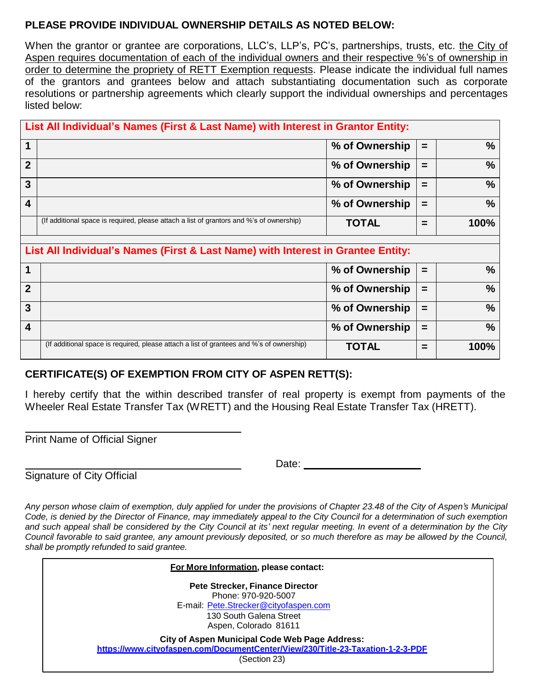# **PLEASE PROVIDE INDIVIDUAL OWNERSHIP DETAILS AS NOTED BELOW:**

When the grantor or grantee are corporations, LLC's, LLP's, PC's, partnerships, trusts, etc. the City of Aspen requires documentation of each of the individual owners and their respective %'s of ownership in order to determine the propriety of RETT Exemption requests. Please indicate the individual full names of the grantors and grantees below and attach substantiating documentation such as corporate resolutions or partnership agreements which clearly support the individual ownerships and percentages listed below:

|                  | List All Individual's Names (First & Last Name) with Interest in Grantor Entity:         |                |          |               |  |  |
|------------------|------------------------------------------------------------------------------------------|----------------|----------|---------------|--|--|
|                  |                                                                                          | % of Ownership | $\equiv$ | $\%$          |  |  |
| $\mathbf{2}$     |                                                                                          | % of Ownership | =        | $\%$          |  |  |
| 3                |                                                                                          | % of Ownership | $\equiv$ | $\%$          |  |  |
| $\boldsymbol{4}$ |                                                                                          | % of Ownership | $=$      | $\frac{0}{0}$ |  |  |
|                  | (If additional space is required, please attach a list of grantors and %'s of ownership) | <b>TOTAL</b>   | -        | <b>100%</b>   |  |  |

# **List All Individual's Names (First & Last Name) with Interest in Grantee Entity:**

|   |                                                                                          | % of Ownership | $\equiv$ | %       |
|---|------------------------------------------------------------------------------------------|----------------|----------|---------|
|   |                                                                                          | % of Ownership | $=$      | %       |
| 2 |                                                                                          | % of Ownership | $=$      | %       |
|   |                                                                                          | % of Ownership | $=$      | %       |
|   | (If additional space is required, please attach a list of grantees and %'s of ownership) | <b>TOTAL</b>   | =        | $100\%$ |

# **CERTIFICATE(S) OF EXEMPTION FROM CITY OF ASPEN RETT(S):**

I hereby certify that the within described transfer of real property is exempt from payments of the Wheeler Real Estate Transfer Tax (WRETT) and the Housing Real Estate Transfer Tax (HRETT).

Print Name of Official Signer

Signature of City Official

Date:

Any person whose claim of exemption, duly applied for under the provisions of Chapter 23.48 of the City of Aspen's Municipal Code, is denied by the Director of Finance, may immediately appeal to the City Council for a determination of such exemption and such appeal shall be considered by the City Council at its' next regular meeting. In event of a determination by the City Council favorable to said grantee, any amount previously deposited, or so much therefore as may be allowed by the Council, *shall be promptly refunded to said grantee.*

| For More Information, please contact:                                                                                                                    |
|----------------------------------------------------------------------------------------------------------------------------------------------------------|
| <b>Pete Strecker, Finance Director</b>                                                                                                                   |
| Phone: 970-920-5007<br>E-mail: Pete.Strecker@cityofaspen.com                                                                                             |
| 130 South Galena Street<br>Aspen, Colorado 81611                                                                                                         |
| <b>City of Aspen Municipal Code Web Page Address:</b><br>https://www.cityofaspen.com/DocumentCenter/View/230/Title-23-Taxation-1-2-3-PDF<br>(Section 23) |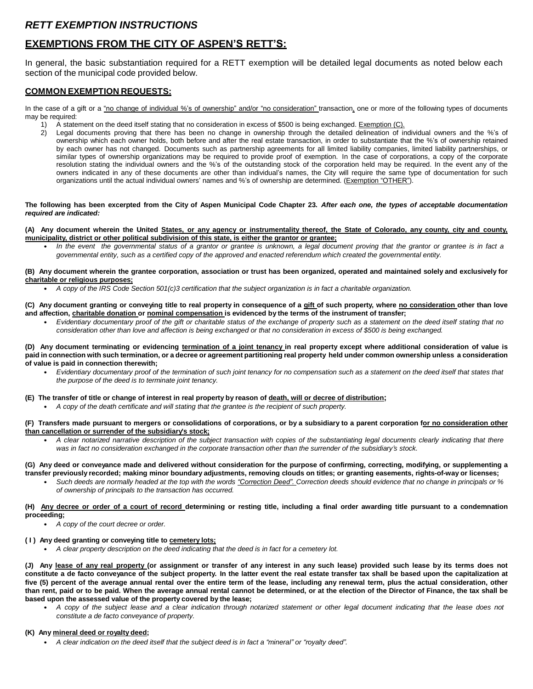## *RETT EXEMPTION INSTRUCTIONS*

### **EXEMPTIONS FROM THE CITY OF ASPEN'S RETT'S:**

In general, the basic substantiation required for a RETT exemption will be detailed legal documents as noted below each section of the municipal code provided below.

### **COMMON EXEMPTION REQUESTS:**

In the case of a gift or a "no change of individual %'s of ownership" and/or "no consideration" transaction, one or more of the following types of documents may be required:

- 1) A statement on the deed itself stating that no consideration in excess of \$500 is being exchanged. Exemption (C).
- 2) Legal documents proving that there has been no change in ownership through the detailed delineation of individual owners and the %'s of ownership which each owner holds, both before and after the real estate transaction, in order to substantiate that the %'s of ownership retained by each owner has not changed. Documents such as partnership agreements for all limited liability companies, limited liability partnerships, or similar types of ownership organizations may be required to provide proof of exemption. In the case of corporations, a copy of the corporate resolution stating the individual owners and the %'s of the outstanding stock of the corporation held may be required. In the event any of the owners indicated in any of these documents are other than individual's names, the City will require the same type of documentation for such organizations until the actual individual owners' names and %'s of ownership are determined. (Exemption "OTHER").

#### The following has been excerpted from the City of Aspen Municipal Code Chapter 23. After each one, the types of acceptable documentation *required are indicated:*

#### (A) Any document wherein the United States, or any agency or instrumentality thereof, the State of Colorado, any county, city and county, **municipality, district or other political subdivision of this state, is either the grantor or grantee;**

In the event the governmental status of a grantor or grantee is unknown, a legal document proving that the grantor or grantee is in fact a *governmental entity, such as a certified copy of the approved and enacted referendum which created the governmental entity.*

#### (B) Any document wherein the grantee corporation, association or trust has been organized, operated and maintained solely and exclusively for **charitable or religious purposes;**

**•** *A copy of the IRS Code Section 501(c)3 certification that the subject organization is in fact a charitable organization.*

#### (C) Any document granting or conveying title to real property in consequence of a gift of such property, where no consideration other than love **and affection, charitable donation or nominal compensation is evidenced by the terms of the instrument of transfer;**

• Evidentiary documentary proof of the gift or charitable status of the exchange of property such as a statement on the deed itself stating that no *consideration other than love and affection is being exchanged or that no consideration in excess of \$500 is being exchanged.*

(D) Any document terminating or evidencing termination of a joint tenancy in real property except where additional consideration of value is paid in connection with such termination, or a decree or agreement partitioning real property held under common ownership unless a consideration **of value is paid in connection therewith;**

Evidentiary documentary proof of the termination of such joint tenancy for no compensation such as a statement on the deed itself that states that *the purpose of the deed is to terminate joint tenancy.*

#### **(E) The transfer of title or change of interest in real property by reason of death, will or decree of distribution;**

**•** *A copy of the death certificate and will stating that the grantee is the recipient of such property.*

#### (F) Transfers made pursuant to mergers or consolidations of corporations, or by a subsidiary to a parent corporation for no consideration other **than cancellation or surrender of the subsidiary's stock;**

A clear notarized narrative description of the subject transaction with copies of the substantiating legal documents clearly indicating that there *was in fact no consideration exchanged in the corporate transaction other than the surrender of the subsidiary's stock.*

#### (G) Any deed or conveyance made and delivered without consideration for the purpose of confirming, correcting, modifying, or supplementing a transfer previously recorded; making minor boundary adjustments, removing clouds on titles; or granting easements, rights-of-way or licenses;

**•** *Such deeds are normally headed at the top with the words "Correction Deed". Correction deeds should evidence that no change in principals or % of ownership of principals to the transaction has occurred.*

#### (H) Any decree or order of a court of record determining or resting title, including a final order awarding title pursuant to a condemnation **proceeding;**

**•** *A copy of the court decree or order.*

#### **( I ) Any deed granting or conveying title to cemetery lots;**

**•** *A clear property description on the deed indicating that the deed is in fact for a cemetery lot.*

(J) Any lease of any real property (or assignment or transfer of any interest in any such lease) provided such lease by its terms does not constitute a de facto conveyance of the subject property. In the latter event the real estate transfer tax shall be based upon the capitalization at five (5) percent of the average annual rental over the entire term of the lease, including any renewal term, plus the actual consideration, other than rent, paid or to be paid. When the average annual rental cannot be determined, or at the election of the Director of Finance, the tax shall be **based upon the assessed value of the property covered by the lease;**

• A copy of the subject lease and a clear indication through notarized statement or other legal document indicating that the lease does not *constitute a de facto conveyance of property.*

### **(K) Any mineral deed or royalty deed;**

**•** *A clear indication on the deed itself that the subject deed is in fact a "mineral" or "royalty deed".*